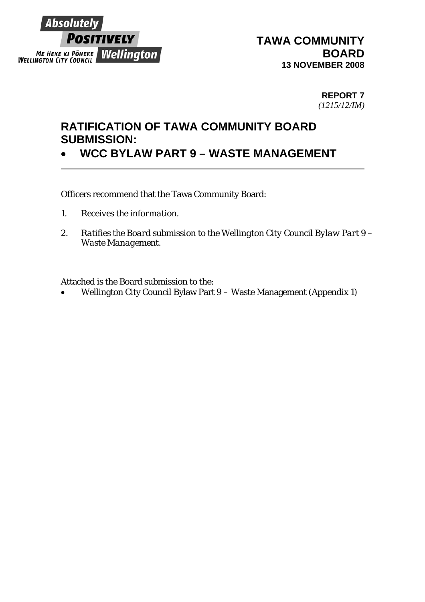

**REPORT 7**  *(1215/12/IM)*

## **RATIFICATION OF TAWA COMMUNITY BOARD SUBMISSION:**

• **WCC BYLAW PART 9 – WASTE MANAGEMENT** 

Officers recommend that the Tawa Community Board:

- *1. Receives the information.*
- *2. Ratifies the Board submission to the Wellington City Council Bylaw Part 9 Waste Management.*

Attached is the Board submission to the:

• Wellington City Council Bylaw Part 9 – Waste Management (Appendix 1)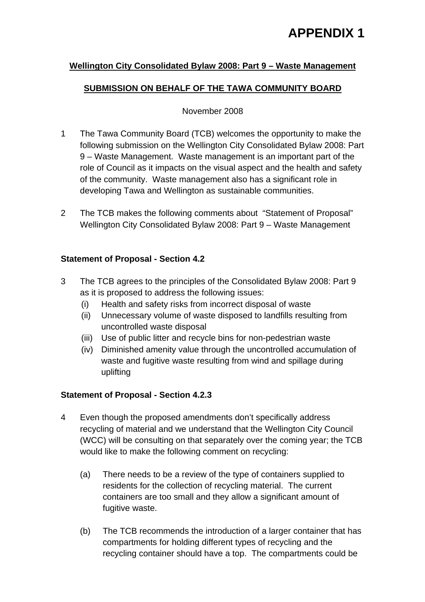# **APPENDIX 1**

### **Wellington City Consolidated Bylaw 2008: Part 9 – Waste Management**

#### **SUBMISSION ON BEHALF OF THE TAWA COMMUNITY BOARD**

November 2008

- 1 The Tawa Community Board (TCB) welcomes the opportunity to make the following submission on the Wellington City Consolidated Bylaw 2008: Part 9 – Waste Management. Waste management is an important part of the role of Council as it impacts on the visual aspect and the health and safety of the community. Waste management also has a significant role in developing Tawa and Wellington as sustainable communities.
- 2 The TCB makes the following comments about "Statement of Proposal" Wellington City Consolidated Bylaw 2008: Part 9 – Waste Management

#### **Statement of Proposal - Section 4.2**

- 3 The TCB agrees to the principles of the Consolidated Bylaw 2008: Part 9 as it is proposed to address the following issues:
	- (i) Health and safety risks from incorrect disposal of waste
	- (ii) Unnecessary volume of waste disposed to landfills resulting from uncontrolled waste disposal
	- (iii) Use of public litter and recycle bins for non-pedestrian waste
	- (iv) Diminished amenity value through the uncontrolled accumulation of waste and fugitive waste resulting from wind and spillage during uplifting

#### **Statement of Proposal - Section 4.2.3**

- 4 Even though the proposed amendments don't specifically address recycling of material and we understand that the Wellington City Council (WCC) will be consulting on that separately over the coming year; the TCB would like to make the following comment on recycling:
	- (a) There needs to be a review of the type of containers supplied to residents for the collection of recycling material. The current containers are too small and they allow a significant amount of fugitive waste.
	- (b) The TCB recommends the introduction of a larger container that has compartments for holding different types of recycling and the recycling container should have a top. The compartments could be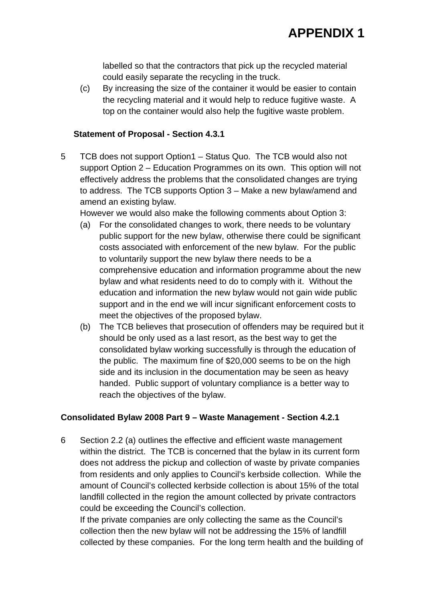labelled so that the contractors that pick up the recycled material could easily separate the recycling in the truck.

(c) By increasing the size of the container it would be easier to contain the recycling material and it would help to reduce fugitive waste. A top on the container would also help the fugitive waste problem.

#### **Statement of Proposal - Section 4.3.1**

5 TCB does not support Option1 – Status Quo. The TCB would also not support Option 2 – Education Programmes on its own. This option will not effectively address the problems that the consolidated changes are trying to address. The TCB supports Option 3 – Make a new bylaw/amend and amend an existing bylaw.

However we would also make the following comments about Option 3:

- (a) For the consolidated changes to work, there needs to be voluntary public support for the new bylaw, otherwise there could be significant costs associated with enforcement of the new bylaw. For the public to voluntarily support the new bylaw there needs to be a comprehensive education and information programme about the new bylaw and what residents need to do to comply with it. Without the education and information the new bylaw would not gain wide public support and in the end we will incur significant enforcement costs to meet the objectives of the proposed bylaw.
- (b) The TCB believes that prosecution of offenders may be required but it should be only used as a last resort, as the best way to get the consolidated bylaw working successfully is through the education of the public. The maximum fine of \$20,000 seems to be on the high side and its inclusion in the documentation may be seen as heavy handed. Public support of voluntary compliance is a better way to reach the objectives of the bylaw.

#### **Consolidated Bylaw 2008 Part 9 – Waste Management - Section 4.2.1**

6 Section 2.2 (a) outlines the effective and efficient waste management within the district. The TCB is concerned that the bylaw in its current form does not address the pickup and collection of waste by private companies from residents and only applies to Council's kerbside collection. While the amount of Council's collected kerbside collection is about 15% of the total landfill collected in the region the amount collected by private contractors could be exceeding the Council's collection.

 If the private companies are only collecting the same as the Council's collection then the new bylaw will not be addressing the 15% of landfill collected by these companies. For the long term health and the building of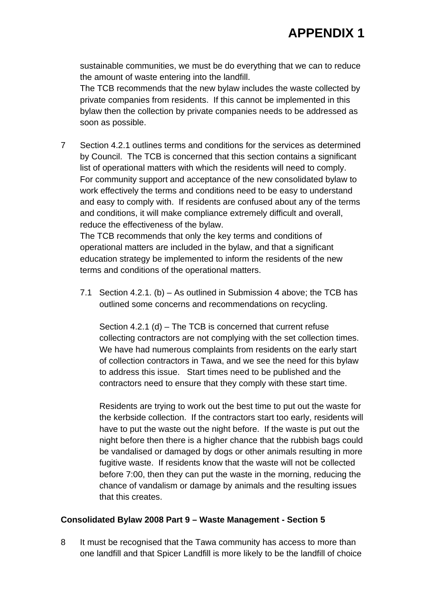sustainable communities, we must be do everything that we can to reduce the amount of waste entering into the landfill.

 The TCB recommends that the new bylaw includes the waste collected by private companies from residents. If this cannot be implemented in this bylaw then the collection by private companies needs to be addressed as soon as possible.

7 Section 4.2.1 outlines terms and conditions for the services as determined by Council. The TCB is concerned that this section contains a significant list of operational matters with which the residents will need to comply. For community support and acceptance of the new consolidated bylaw to work effectively the terms and conditions need to be easy to understand and easy to comply with. If residents are confused about any of the terms and conditions, it will make compliance extremely difficult and overall, reduce the effectiveness of the bylaw.

 The TCB recommends that only the key terms and conditions of operational matters are included in the bylaw, and that a significant education strategy be implemented to inform the residents of the new terms and conditions of the operational matters.

7.1 Section 4.2.1. (b) – As outlined in Submission 4 above; the TCB has outlined some concerns and recommendations on recycling.

 Section 4.2.1 (d) – The TCB is concerned that current refuse collecting contractors are not complying with the set collection times. We have had numerous complaints from residents on the early start of collection contractors in Tawa, and we see the need for this bylaw to address this issue. Start times need to be published and the contractors need to ensure that they comply with these start time.

 Residents are trying to work out the best time to put out the waste for the kerbside collection. If the contractors start too early, residents will have to put the waste out the night before. If the waste is put out the night before then there is a higher chance that the rubbish bags could be vandalised or damaged by dogs or other animals resulting in more fugitive waste. If residents know that the waste will not be collected before 7:00, then they can put the waste in the morning, reducing the chance of vandalism or damage by animals and the resulting issues that this creates.

#### **Consolidated Bylaw 2008 Part 9 – Waste Management - Section 5**

8 It must be recognised that the Tawa community has access to more than one landfill and that Spicer Landfill is more likely to be the landfill of choice